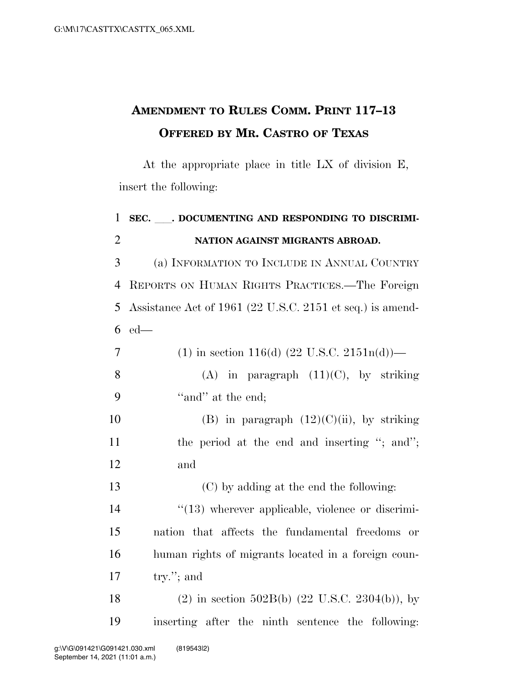## **AMENDMENT TO RULES COMM. PRINT 117–13 OFFERED BY MR. CASTRO OF TEXAS**

At the appropriate place in title LX of division E, insert the following:

| 1              | SEC. ___. DOCUMENTING AND RESPONDING TO DISCRIMI-            |
|----------------|--------------------------------------------------------------|
| $\overline{2}$ | NATION AGAINST MIGRANTS ABROAD.                              |
| 3              | (a) INFORMATION TO INCLUDE IN ANNUAL COUNTRY                 |
| $\overline{4}$ | REPORTS ON HUMAN RIGHTS PRACTICES.—The Foreign               |
| 5              | Assistance Act of 1961 (22 U.S.C. 2151 et seq.) is amend-    |
| 6              | $ed$ —                                                       |
| 7              | (1) in section 116(d) $(22 \text{ U.S.C. } 2151n(d))$ —      |
| 8              | (A) in paragraph $(11)(C)$ , by striking                     |
| 9              | "and" at the end;                                            |
| 10             | (B) in paragraph $(12)(C)(ii)$ , by striking                 |
| 11             | the period at the end and inserting "; and";                 |
| 12             | and                                                          |
| 13             | (C) by adding at the end the following:                      |
| 14             | $\lq(13)$ wherever applicable, violence or discrimi-         |
| 15             | nation that affects the fundamental freedoms or              |
| 16             | human rights of migrants located in a foreign coun-          |
| 17             | try."; and                                                   |
| 18             | $(2)$ in section 502B(b) $(22 \text{ U.S.C. } 2304(b))$ , by |
| 19             | inserting after the ninth sentence the following:            |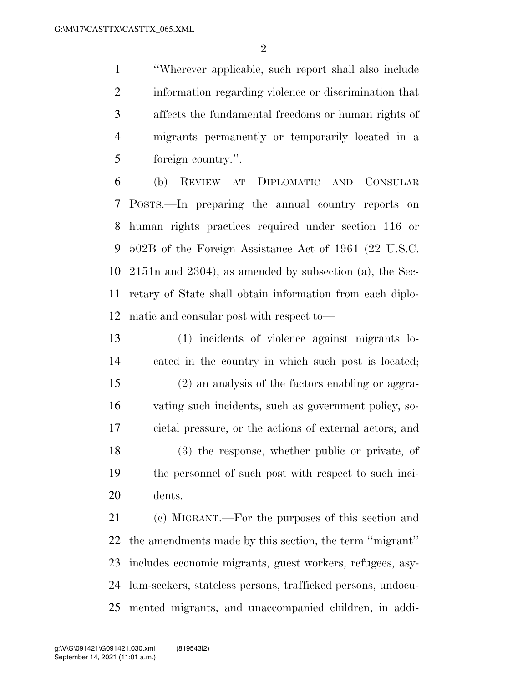''Wherever applicable, such report shall also include information regarding violence or discrimination that affects the fundamental freedoms or human rights of migrants permanently or temporarily located in a foreign country.''.

 (b) REVIEW AT DIPLOMATIC AND CONSULAR POSTS.—In preparing the annual country reports on human rights practices required under section 116 or 502B of the Foreign Assistance Act of 1961 (22 U.S.C. 2151n and 2304), as amended by subsection (a), the Sec- retary of State shall obtain information from each diplo-matic and consular post with respect to—

 (1) incidents of violence against migrants lo- cated in the country in which such post is located; (2) an analysis of the factors enabling or aggra- vating such incidents, such as government policy, so- cietal pressure, or the actions of external actors; and (3) the response, whether public or private, of the personnel of such post with respect to such inci-dents.

 (c) MIGRANT.—For the purposes of this section and the amendments made by this section, the term ''migrant'' includes economic migrants, guest workers, refugees, asy- lum-seekers, stateless persons, trafficked persons, undocu-mented migrants, and unaccompanied children, in addi-